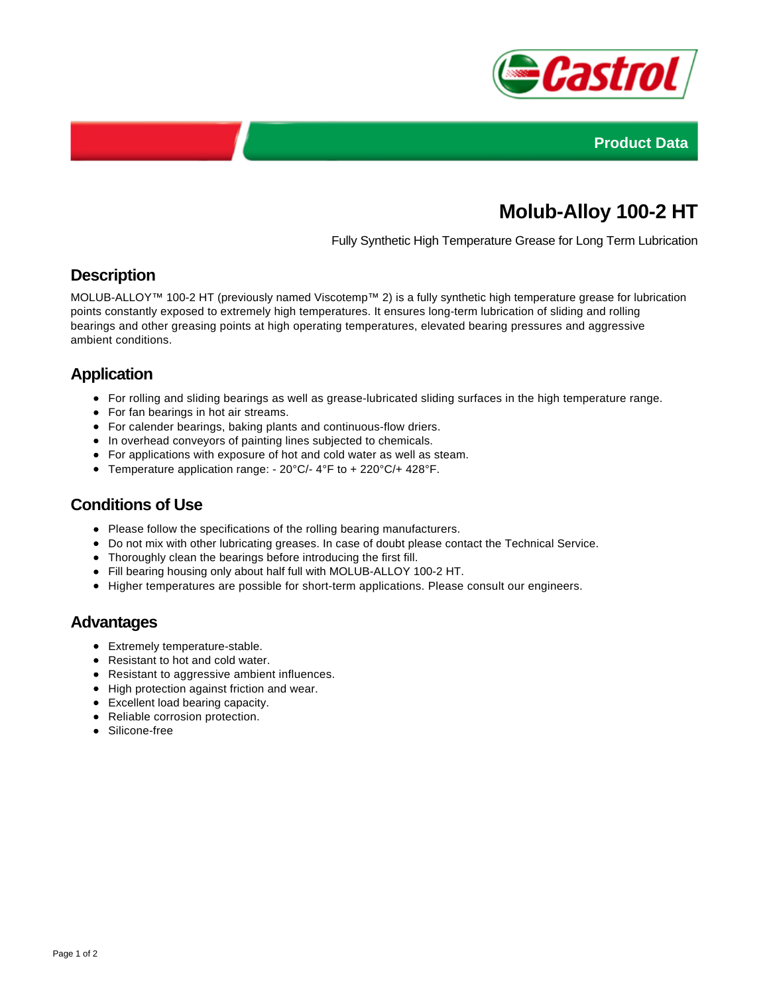



# **Molub-Alloy 100-2 HT**

Fully Synthetic High Temperature Grease for Long Term Lubrication

#### **Description**

MOLUB-ALLOY™ 100-2 HT (previously named Viscotemp™ 2) is a fully synthetic high temperature grease for lubrication points constantly exposed to extremely high temperatures. It ensures long-term lubrication of sliding and rolling bearings and other greasing points at high operating temperatures, elevated bearing pressures and aggressive ambient conditions.

## **Application**

- For rolling and sliding bearings as well as grease-lubricated sliding surfaces in the high temperature range.
- For fan bearings in hot air streams.
- For calender bearings, baking plants and continuous-flow driers.
- In overhead conveyors of painting lines subjected to chemicals.
- For applications with exposure of hot and cold water as well as steam.
- Temperature application range: 20°C/- 4°F to + 220°C/+ 428°F.

### **Conditions of Use**

- Please follow the specifications of the rolling bearing manufacturers.
- Do not mix with other lubricating greases. In case of doubt please contact the Technical Service.
- Thoroughly clean the bearings before introducing the first fill.
- Fill bearing housing only about half full with MOLUB-ALLOY 100-2 HT.
- Higher temperatures are possible for short-term applications. Please consult our engineers.

#### **Advantages**

- Extremely temperature-stable.
- Resistant to hot and cold water.
- Resistant to aggressive ambient influences.
- High protection against friction and wear.
- Excellent load bearing capacity.
- Reliable corrosion protection.
- Silicone-free